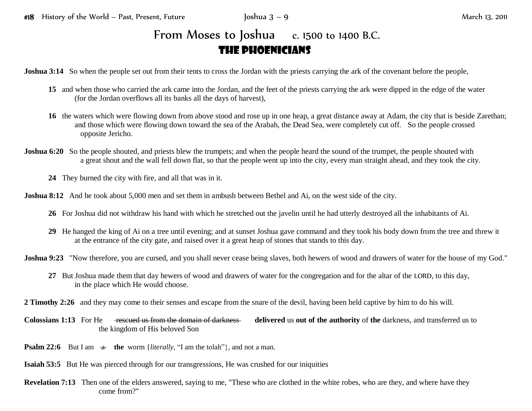## From Moses to Joshua c. 1500 to 1400 B.C. The Phoenicians

**Joshua 3:14** So when the people set out from their tents to cross the Jordan with the priests carrying the ark of the covenant before the people,

- **15** and when those who carried the ark came into the Jordan, and the feet of the priests carrying the ark were dipped in the edge of the water (for the Jordan overflows all its banks all the days of harvest),
- **16** the waters which were flowing down from above stood and rose up in one heap, a great distance away at Adam, the city that is beside Zarethan; and those which were flowing down toward the sea of the Arabah, the Dead Sea, were completely cut off. So the people crossed opposite Jericho.
- **Joshua 6:20** So the people shouted, and priests blew the trumpets; and when the people heard the sound of the trumpet, the people shouted with a great shout and the wall fell down flat, so that the people went up into the city, every man straight ahead, and they took the city.
	- **24** They burned the city with fire, and all that was in it.
- **Joshua 8:12** And he took about 5,000 men and set them in ambush between Bethel and Ai, on the west side of the city.
	- **26** For Joshua did not withdraw his hand with which he stretched out the javelin until he had utterly destroyed all the inhabitants of Ai.
	- **29** He hanged the king of Ai on a tree until evening; and at sunset Joshua gave command and they took his body down from the tree and threw it at the entrance of the city gate, and raised over it a great heap of stones that stands to this day.
- **Joshua 9:23** "Now therefore, you are cursed, and you shall never cease being slaves, both hewers of wood and drawers of water for the house of my God."
	- **27** But Joshua made them that day hewers of wood and drawers of water for the congregation and for the altar of the LORD, to this day, in the place which He would choose.
- **2 Timothy 2:26** and they may come to their senses and escape from the snare of the devil, having been held captive by him to do his will.
- **Colossians 1:13** For He rescued us from the domain of darkness **delivered** us **out of the authority** of **the** darkness, and transferred us to the kingdom of His beloved Son
- **Psalm 22:6** But I am  $\div$  the worm {*literally,* "I am the tolah"}, and not a man.
- **Isaiah 53:5** But He was pierced through for our transgressions, He was crushed for our iniquities
- **Revelation 7:13** Then one of the elders answered, saying to me, "These who are clothed in the white robes, who are they, and where have they come from?"